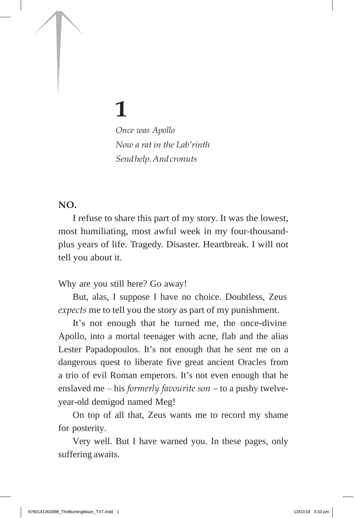## **1**

*Once was Apollo Now a rat in the Lab'rinth Sendhelp.Andcronuts*

## **NO.**

I refuse to share this part of my story. It was the lowest, most humiliating, most awful week in my four-thousandplus years of life. Tragedy. Disaster. Heartbreak. I will not tell you about it.

## Why are you still here? Go away!

But, alas, I suppose I have no choice. Doubtless, Zeus *expects* me to tell you the story as part of my punishment.

It's not enough that he turned me, the once-divine Apollo, into a mortal teenager with acne, flab and the alias Lester Papadopoulos. It's not enough that he sent me on a dangerous quest to liberate five great ancient Oracles from a trio of evil Roman emperors. It's not even enough that he enslaved me – his *formerly favourite son –* to a pushy twelveyear-old demigod named Meg!

On top of all that, Zeus wants me to record my shame for posterity.

Very well. But I have warned you. In these pages, only suffering awaits.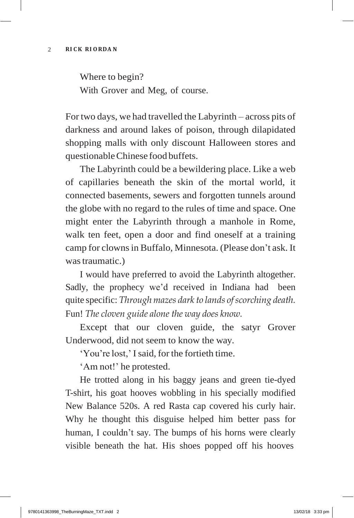## 2 **RI CK RI ORDA N**

Where to begin? With Grover and Meg, of course.

For two days, we had travelled the Labyrinth – across pits of darkness and around lakes of poison, through dilapidated shopping malls with only discount Halloween stores and questionableChinese food buffets.

The Labyrinth could be a bewildering place. Like a web of capillaries beneath the skin of the mortal world, it connected basements, sewers and forgotten tunnels around the globe with no regard to the rules of time and space. One might enter the Labyrinth through a manhole in Rome, walk ten feet, open a door and find oneself at a training camp for clownsin Buffalo, Minnesota. (Please don't ask. It was traumatic.)

I would have preferred to avoid the Labyrinth altogether. Sadly, the prophecy we'd received in Indiana had been quite specific: *Through mazes dark to lands ofscorching death.* Fun! *The cloven guide alone the way does know.*

Except that our cloven guide, the satyr Grover Underwood, did not seem to know the way.

'You're lost,' Isaid, for the fortieth time.

'Am not!' he protested.

He trotted along in his baggy jeans and green tie-dyed T-shirt, his goat hooves wobbling in his specially modified New Balance 520s. A red Rasta cap covered his curly hair. Why he thought this disguise helped him better pass for human, I couldn't say. The bumps of his horns were clearly visible beneath the hat. His shoes popped off his hooves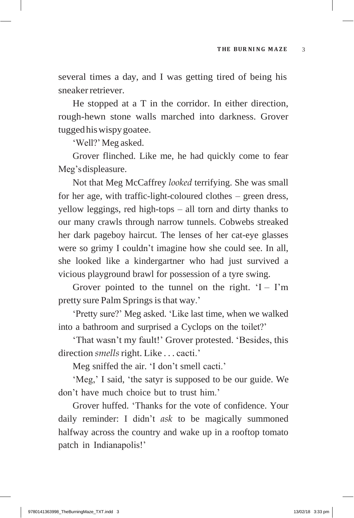several times a day, and I was getting tired of being his sneaker retriever.

He stopped at a T in the corridor. In either direction, rough-hewn stone walls marched into darkness. Grover tuggedhiswispygoatee.

'Well?' Meg asked.

Grover flinched. Like me, he had quickly come to fear Meg'sdispleasure.

Not that Meg McCaffrey *looked* terrifying. She was small for her age, with traffic-light-coloured clothes – green dress, yellow leggings, red high-tops – all torn and dirty thanks to our many crawls through narrow tunnels. Cobwebs streaked her dark pageboy haircut. The lenses of her cat-eye glasses were so grimy I couldn't imagine how she could see. In all, she looked like a kindergartner who had just survived a vicious playground brawl for possession of a tyre swing.

Grover pointed to the tunnel on the right.  $I - I'm$ pretty sure Palm Springs is that way.'

'Pretty sure?' Meg asked. 'Like last time, when we walked into a bathroom and surprised a Cyclops on the toilet?'

'That wasn't my fault!' Grover protested. 'Besides, this direction *smells*right. Like . . . cacti.'

Meg sniffed the air. 'I don't smell cacti.'

'Meg,' I said, 'the satyr is supposed to be our guide. We don't have much choice but to trust him.'

Grover huffed. 'Thanks for the vote of confidence. Your daily reminder: I didn't *ask* to be magically summoned halfway across the country and wake up in a rooftop tomato patch in Indianapolis!'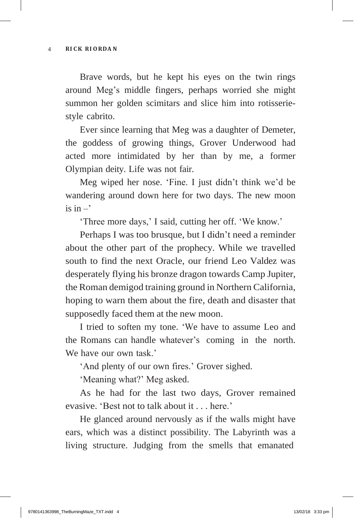Brave words, but he kept his eyes on the twin rings around Meg's middle fingers, perhaps worried she might summon her golden scimitars and slice him into rotisseriestyle cabrito.

Ever since learning that Meg was a daughter of Demeter, the goddess of growing things, Grover Underwood had acted more intimidated by her than by me, a former Olympian deity. Life was not fair.

Meg wiped her nose. 'Fine. I just didn't think we'd be wandering around down here for two days. The new moon is in  $-$ '

'Three more days,' I said, cutting her off. 'We know.'

Perhaps I was too brusque, but I didn't need a reminder about the other part of the prophecy. While we travelled south to find the next Oracle, our friend Leo Valdez was desperately flying his bronze dragon towards Camp Jupiter, the Roman demigod training ground in Northern California, hoping to warn them about the fire, death and disaster that supposedly faced them at the new moon.

I tried to soften my tone. 'We have to assume Leo and the Romans can handle whatever's coming in the north. We have our own task.'

'And plenty of our own fires.' Grover sighed.

'Meaning what?' Meg asked.

As he had for the last two days, Grover remained evasive. 'Best not to talk about it . . . here.'

He glanced around nervously as if the walls might have ears, which was a distinct possibility. The Labyrinth was a living structure. Judging from the smells that emanated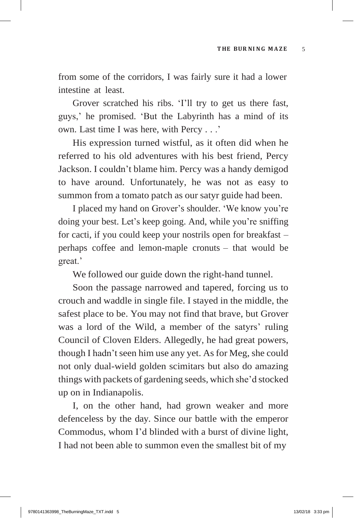from some of the corridors, I was fairly sure it had a lower intestine at least.

Grover scratched his ribs. 'I'll try to get us there fast, guys,' he promised. 'But the Labyrinth has a mind of its own. Last time I was here, with Percy . . .'

His expression turned wistful, as it often did when he referred to his old adventures with his best friend, Percy Jackson. I couldn't blame him. Percy was a handy demigod to have around. Unfortunately, he was not as easy to summon from a tomato patch as our satyr guide had been.

I placed my hand on Grover's shoulder. 'We know you're doing your best. Let's keep going. And, while you're sniffing for cacti, if you could keep your nostrils open for breakfast – perhaps coffee and lemon-maple cronuts – that would be great.'

We followed our guide down the right-hand tunnel.

Soon the passage narrowed and tapered, forcing us to crouch and waddle in single file. I stayed in the middle, the safest place to be. You may not find that brave, but Grover was a lord of the Wild, a member of the satyrs' ruling Council of Cloven Elders. Allegedly, he had great powers, though I hadn't seen him use any yet. As for Meg, she could not only dual-wield golden scimitars but also do amazing things with packets of gardening seeds, which she'd stocked up on in Indianapolis.

I, on the other hand, had grown weaker and more defenceless by the day. Since our battle with the emperor Commodus, whom I'd blinded with a burst of divine light, I had not been able to summon even the smallest bit of my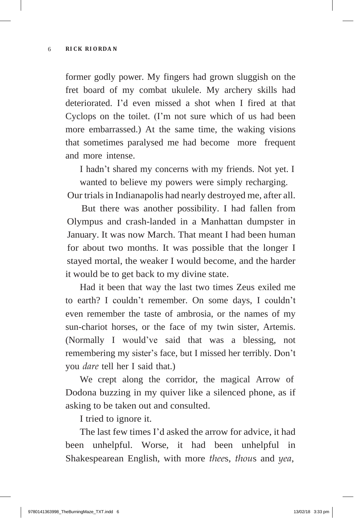former godly power. My fingers had grown sluggish on the fret board of my combat ukulele. My archery skills had deteriorated. I'd even missed a shot when I fired at that Cyclops on the toilet. (I'm not sure which of us had been more embarrassed.) At the same time, the waking visions that sometimes paralysed me had become more frequent and more intense.

I hadn't shared my concerns with my friends. Not yet. I

wanted to believe my powers were simply recharging. Our trials in Indianapolis had nearly destroyed me, after all.

But there was another possibility. I had fallen from Olympus and crash-landed in a Manhattan dumpster in January. It was now March. That meant I had been human for about two months. It was possible that the longer I stayed mortal, the weaker I would become, and the harder it would be to get back to my divine state.

Had it been that way the last two times Zeus exiled me to earth? I couldn't remember. On some days, I couldn't even remember the taste of ambrosia, or the names of my sun-chariot horses, or the face of my twin sister, Artemis. (Normally I would've said that was a blessing, not remembering my sister's face, but I missed her terribly. Don't you *dare* tell her I said that.)

We crept along the corridor, the magical Arrow of Dodona buzzing in my quiver like a silenced phone, as if asking to be taken out and consulted.

I tried to ignore it.

The last few times I'd asked the arrow for advice, it had been unhelpful. Worse, it had been unhelpful in Shakespearean English, with more *thee*s, *thou*s and *yea*,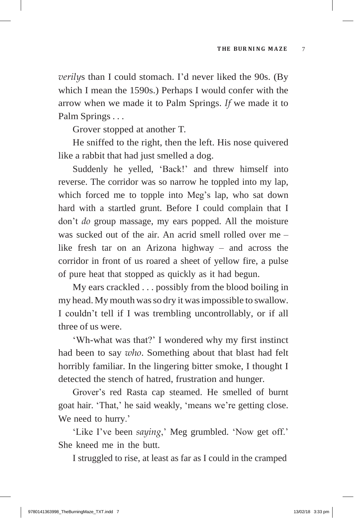*verily*s than I could stomach. I'd never liked the 90s. (By which I mean the 1590s.) Perhaps I would confer with the arrow when we made it to Palm Springs. *If* we made it to Palm Springs . . .

Grover stopped at another T.

He sniffed to the right, then the left. His nose quivered like a rabbit that had just smelled a dog.

Suddenly he yelled, 'Back!' and threw himself into reverse. The corridor was so narrow he toppled into my lap, which forced me to topple into Meg's lap, who sat down hard with a startled grunt. Before I could complain that I don't *do* group massage, my ears popped. All the moisture was sucked out of the air. An acrid smell rolled over me – like fresh tar on an Arizona highway – and across the corridor in front of us roared a sheet of yellow fire, a pulse of pure heat that stopped as quickly as it had begun.

My ears crackled . . . possibly from the blood boiling in my head.Mymouth wasso dry it wasimpossible to swallow. I couldn't tell if I was trembling uncontrollably, or if all three of us were.

'Wh-what was that?' I wondered why my first instinct had been to say *who*. Something about that blast had felt horribly familiar. In the lingering bitter smoke, I thought I detected the stench of hatred, frustration and hunger.

Grover's red Rasta cap steamed. He smelled of burnt goat hair. 'That,' he said weakly, 'means we're getting close. We need to hurry.'

'Like I've been *saying*,' Meg grumbled. 'Now get off.' She kneed me in the butt.

I struggled to rise, at least as far as I could in the cramped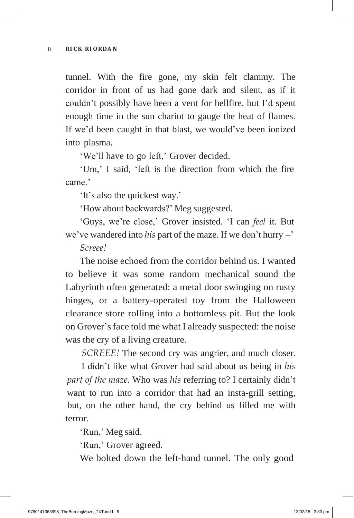tunnel. With the fire gone, my skin felt clammy. The corridor in front of us had gone dark and silent, as if it couldn't possibly have been a vent for hellfire, but I'd spent enough time in the sun chariot to gauge the heat of flames. If we'd been caught in that blast, we would've been ionized into plasma.

'We'll have to go left,' Grover decided.

'Um,' I said, 'left is the direction from which the fire came.'

'It's also the quickest way.'

'How about backwards?' Meg suggested.

'Guys, we're close,' Grover insisted. 'I can *feel* it. But we've wandered into *his* part of the maze. If we don't hurry –'

*Screee!*

The noise echoed from the corridor behind us. I wanted to believe it was some random mechanical sound the Labyrinth often generated: a metal door swinging on rusty hinges, or a battery-operated toy from the Halloween clearance store rolling into a bottomless pit. But the look on Grover'sface told me what I already suspected: the noise was the cry of a living creature.

*SCREEE!* The second cry was angrier, and much closer.

I didn't like what Grover had said about us being in *his part of the maze*. Who was *his* referring to? I certainly didn't want to run into a corridor that had an insta-grill setting, but, on the other hand, the cry behind us filled me with terror.

'Run,' Meg said.

'Run,' Grover agreed.

We bolted down the left-hand tunnel. The only good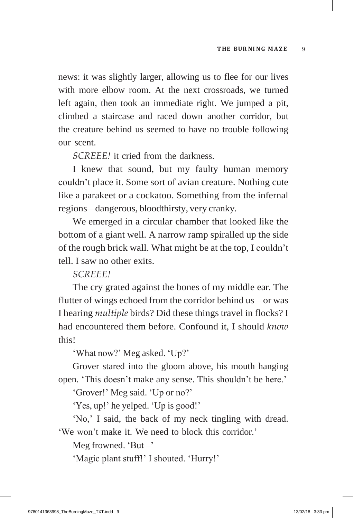news: it was slightly larger, allowing us to flee for our lives with more elbow room. At the next crossroads, we turned left again, then took an immediate right. We jumped a pit, climbed a staircase and raced down another corridor, but the creature behind us seemed to have no trouble following our scent.

*SCREEE!* it cried from the darkness.

I knew that sound, but my faulty human memory couldn't place it. Some sort of avian creature. Nothing cute like a parakeet or a cockatoo. Something from the infernal regions – dangerous, bloodthirsty, very cranky.

We emerged in a circular chamber that looked like the bottom of a giant well. A narrow ramp spiralled up the side of the rough brick wall. What might be at the top, I couldn't tell. I saw no other exits.

*SCREEE!*

The cry grated against the bones of my middle ear. The flutter of wings echoed from the corridor behind  $us - or was$ I hearing *multiple* birds? Did these things travel in flocks? I had encountered them before. Confound it, I should *know* this!

'What now?' Meg asked. 'Up?'

Grover stared into the gloom above, his mouth hanging open. 'This doesn't make any sense. This shouldn't be here.'

'Grover!' Meg said. 'Up or no?'

'Yes, up!' he yelped. 'Up is good!'

'No,' I said, the back of my neck tingling with dread. 'We won't make it. We need to block this corridor.'

Meg frowned. 'But –'

'Magic plant stuff!' I shouted. 'Hurry!'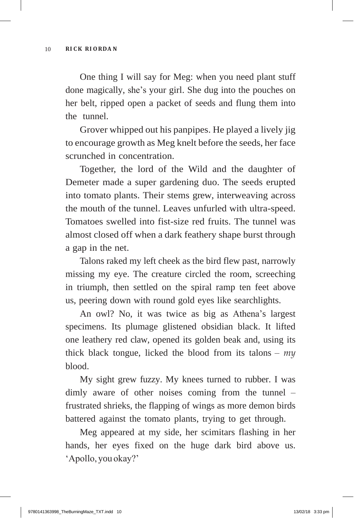One thing I will say for Meg: when you need plant stuff done magically, she's your girl. She dug into the pouches on her belt, ripped open a packet of seeds and flung them into the tunnel.

Grover whipped out his panpipes. He played a lively jig to encourage growth as Meg knelt before the seeds, her face scrunched in concentration.

Together, the lord of the Wild and the daughter of Demeter made a super gardening duo. The seeds erupted into tomato plants. Their stems grew, interweaving across the mouth of the tunnel. Leaves unfurled with ultra-speed. Tomatoes swelled into fist-size red fruits. The tunnel was almost closed off when a dark feathery shape burst through a gap in the net.

Talons raked my left cheek as the bird flew past, narrowly missing my eye. The creature circled the room, screeching in triumph, then settled on the spiral ramp ten feet above us, peering down with round gold eyes like searchlights.

An owl? No, it was twice as big as Athena's largest specimens. Its plumage glistened obsidian black. It lifted one leathery red claw, opened its golden beak and, using its thick black tongue, licked the blood from its talons – *my* blood.

My sight grew fuzzy. My knees turned to rubber. I was dimly aware of other noises coming from the tunnel – frustrated shrieks, the flapping of wings as more demon birds battered against the tomato plants, trying to get through.

Meg appeared at my side, her scimitars flashing in her hands, her eyes fixed on the huge dark bird above us. 'Apollo, you okay?'